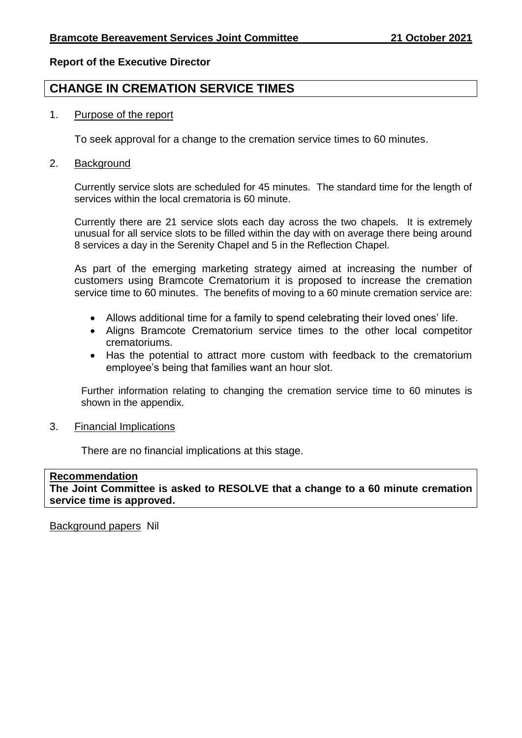#### **Report of the Executive Director**

# **CHANGE IN CREMATION SERVICE TIMES**

### 1. Purpose of the report

To seek approval for a change to the cremation service times to 60 minutes.

#### 2. Background

Currently service slots are scheduled for 45 minutes. The standard time for the length of services within the local crematoria is 60 minute.

Currently there are 21 service slots each day across the two chapels. It is extremely unusual for all service slots to be filled within the day with on average there being around 8 services a day in the Serenity Chapel and 5 in the Reflection Chapel.

As part of the emerging marketing strategy aimed at increasing the number of customers using Bramcote Crematorium it is proposed to increase the cremation service time to 60 minutes. The benefits of moving to a 60 minute cremation service are:

- Allows additional time for a family to spend celebrating their loved ones' life.
- Aligns Bramcote Crematorium service times to the other local competitor crematoriums.
- Has the potential to attract more custom with feedback to the crematorium employee's being that families want an hour slot.

Further information relating to changing the cremation service time to 60 minutes is shown in the appendix.

# 3. Financial Implications

There are no financial implications at this stage.

## **Recommendation The Joint Committee is asked to RESOLVE that a change to a 60 minute cremation service time is approved.**

Background papers Nil